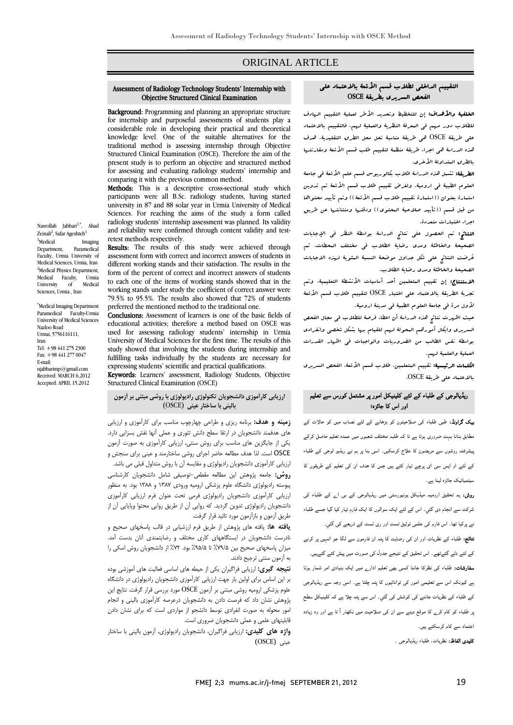# ORIGINAL ARTICLE

#### Assessment of Radiology Technology Students' Internship with Objective Structured Clinical Examination

Ī  $\overline{a}$ 

 Background: Programming and planning an appropriate structure **Exagground:** Frogramming and planning an appropriate structure<br>for internship and purposeful assessments of students play a considerable role in developing their practical and theoretical traditional method is assessing internship through Objective Structured Clinical Examination (OSCE). Therefore the aim of the present study is to perform an objective and structured method<br>for assessing and evaluating radiology students' internship and comparing it with the previous common method. knowledge level. One of the suitable alternatives for the for assessing and evaluating radiology students' internship and

**Methous:** This is a descriptive cross-sectional study which<br>participants were all B.Sc. radiology students, having started university in 87 and 88 solar year in Urmia University of Medical sciences. For reacning the aims of the study a form called<br>radiology students' internship assessment was planned. Its validity and reliability were confirmed through content validity and test-Methods: This is a descriptive cross-sectional study which Sciences. For reaching the aims of the study a form called retest methods respectively.

retest methods respectively.<br>**Results:** The results of this study were achieved through assessment form with correct and incorrect answers of students in different working stands and their satisfaction. The results in the to each one of the items of working stands showed that in the working stands under study the coefficient of correct answer were preferred the mentioned method to the traditional one. form of the percent of correct and incorrect answers of students 79.5% to 95.5%. The results also showed that 72% of students

 Conclusions: Assessment of learners is one of the basic fields of used for assessing radiology students' internship in Urmia University of Medical Sciences for the first time. The results of this fulfilling tasks individually by the students are necessary for expressing students' scientific and practical qualifications. educational activities; therefore a method based on OSCE was study showed that involving the students during internship and

**Keywords:** Learners' assessment, Radiology Students, Objective<br>Structured Clinical Examination (OSCE) Structured Clinical Examination (OSCE)

## **ارزيابي كارآموزي دانشجويان تكنولوژي راديولوژي با روشي مبتني بر آزمون باليني با ساختار عيني** (OSCE (

 **زمينه و هدف:** برنامه ريزي و طراحي چهارچوب مناسب براي كارآموزي و ارزيابي هاي هدفمند دانشجويان در ارتقا سطح دانش تئوري و عملي آنها نقش بسزايي دارد. يكي از جايگزين هاي مناسب براي روش سنتي، ارزيابي كارآموزي به صورت آزمون OSCE است. لذا هدف مطالعه حاضر اجراي روشي ساختارمند و عيني براي سنجش و ارزيابي كارآموزي دانشجويان راديولوژي و مقايسه آن با روش متداول قبلي مي باشد.

**روسی.** جامعه پروسس این مصاهه منطعی نوصیتی سامل دانسجویان دارساسی<br>پیوسته رادیولوژی دانشگاه علوم پزشكی ارومیه ورودی ۱۳۸۷ و ۱۳۸۸ بود. به منظور ارزيابي كارآموزي دانشجويان راديولوژي فرمي تحت عنوان فرم ارزيابي كارآموزي دانشجويان راديولوژي تدوين گرديد. كه روايي آن از طريق روايي محتوا وپايايي آن از طريق آزمون و بازآزمون مورد تائيد قرار گرفت. **روش:** جامعه پژوهش اين مطالعه مقطعي-توصيفي شامل دانشجويان كارشناسي

 **يافته ها:** يافته هاي پژوهش از طريق فرم ارزشيابي در قالب پاسخهاي صحيح و مدرست دانسجويان در ايستحاسهاي حاري محتمد و رصايتمندي امان بدست امد.<br>ميزان پاسخهاي صحيح بين ٧٩/۵٪ تا ۹۵/۵٪ بود. ٧٢٪ از دانشجويان روش اسكي را به آزمون سنتي ترجيح دادند. نادرست دانشجويان در ايستگاههاي كاري مختلف و رضايتمندي آنان بدست آمد.

 **نتيجه گيري:** ارزيابي فراگيران يكي از حيطه هاي اساسي فعاليت هاي آموزشي بوده بر اين اساس براي اولين بار جهت ارزيابي كارآموزي دانشجويان راديولوژي در دانشگاه علوم پزشكي اروميه روشي مبتني بر آزمون OSCE مورد بررسي قرار گرفت. نتايج اين پروسس نسان داد که فرصت دانان به دانشجویان درخرصه داراموری بابینی و انجام<br>مور محوله به صورت انفرادی توسط دانشجو از مواردی است که برای نشان دادن قابليتهاي علمي و عملي دانشجويان ضروري است. پژوهش نشان داد كه فرصت دادن به دانشجويان درعرصه كارآموزي باليني و انجام

 **واژه هاي كليدي:** ارزيابي فراگيران، دانشجويان راديولوژي، آزمون باليني با ساختار عيني (OSCE(

#### $\overline{a}$  التقييم الداخلي لطلاب قسم الأشعة بالاعتماد على الفحص السريري بطريقة OSCE

Ī  $\overline{a}$ 

ا**لغلفية والأهداف:** إن للتخطيط وتحديد الأطر لعملية التقييم الهادف<br>. للطلاب دور مهم في المعرفة النظرية والعملية لهم. فالتقييم بالاعتماد على طريقة OSCE هي طريقة مناسبة تحل محل الطرق التقليدية. هدف هذه الدراسة هي اجراء طريقة منظمة لتقييم طلب قسم الأشعة ومقارنتها بالطرق المتداولة الأخرى.

بالعرب العندادية الأسرى.<br>**الطريقة:** تشمل هذه الدراسة طلاب بكالوريوس قسم علم الأشعة في جامعة العربية. علمن حد الدورة الأمرية بتدويرو في علم المعلم الأسم في بدلة.<br>العلوم الطبية في ارومية. ولغرض تقييم طلاب قسم الأشعة تم تدوين استمارة بعنوان ((استمارة تقييم طلاب قسم الأشعة)) وتم تأييد محتواها من قبل قسم ((تأييد صلاحية المحتوى)) ودقتها ومنتانتها عن طريق اجراء اختبارات متعددة.

 النتائج: تم الحصول على نتائج الدراسة بواسطة النظر في الإجابات ع<br>الصحيحة والخاطئة ومدى رضاية الطلاب في مختلف البحطات. ثم عرضت النتائج على شكل جداول موضحة النسبة المئوية لهذه الاجابات الصحيحة والخاطئة ومدى رضاية الطلاب.

 الاستنتاج: إن تقييم المتعلمين أحد أساسيات الأنشطة التعليمية، وتم تجربة الطريقة بالاعتماد على اختبار OSCE لتقييم طلاب قسم الأشعة لأول مرة في جامعة العلوم الطبية في مدينة ارومية.

 حيث اظهرت نتائج هذه الدراسة أن اعطاء فرصة للطلاب في مجال الفحص السريري وايكال أمورهم المحولة لهم للقيام بها بشكل شخصي وانفرادي بواسطة نفس الطالب من الضروريات والواجبات في اظهار القدرات العملية والعلمية لهم.

ا**لكلمات الرئيسية:** تقييم المتعلمين، طلاب قسم الأش<sup>عة،</sup> الفحص السريرى بالاعتماد على طريقة OSCE.

## ریڈیالوجی کے طلباء کے لئے کلینیکل امور پر مشتمل کورس سے تعلیم اور اس کا جائزہ؛

 بیک گراونڈ: طبی طلباء کی صلاحیتون کو بڑھانے کے لئے نصاب میں کو حالات کے مطابق بنانا بہت ضروری ہوتا ہے تا کہ طلبہ مختلف شعبوں میں عمدہ تعلیم حاصل کرکے پیشرفتہ روشوں سے مریضون کا علاج کرسکیں۔ اسی بنا پر ہم نے ریڈیو لوجی کے طلباء کے لئے او ایس سی ای پرچے تیار کئے ہیں جس کا ھدف ان کی تعلیم کے طریقوں کا سیٹمیاٹیک جائزہ لینا ہے۔

 روش: یہ تحقیق ارومیہ میڈیکل یونیورسٹی میں ریڈیالوجی کے بی اے کے طلباء کی شرکت سے انجام دی گئي۔ اس کے لئے ایک سوالوں کا ایک فارم تیار کیا گيا جسے طلباء Ï. نے پرکیا تھا۔ اس فارم کی علمی توثیق ٹسٹ اور ری ٹسٹ کے ذریعے کی گئي۔

 نتائج: طلباء کے نظریات اور ان کی رضایت کا پتہ ان فارمون سے لگا جو انہیں پر کرنے کے لئے دئے گئےتھے۔ اس تحقیق کے نتیجے جدول کی صورت میں پیش کئے گئےہیں۔

 سفارشات: طلباء کی نظرکا جاننا کسی بھی تعلیم ادارے میں ایک بنیادی امر شمار ہوتا ہے کیونکہ اس سے تعلیمی امور کی توانائیوں کا پتہ چلتا ہے۔ اسی وجہ سے ریڈیالوجی کے طلباء کے نظریات جاننے کی کوشش کی گئي۔ اس سے پتہ چلا ہے کہ کلینیکل سطح پر طلباء کو کام کرے کا موقع دینے سے ان کی صلاحیت میں نکھار آ تا ہے اور وہ زیادہ اعتماد سے کام کرسکتے ہیں۔

**کلیدی الفاظ:** نظریات، طلباء ریڈیالوجی ۔

Nasrollah Jabbari<sup>1,\*</sup>, Ahad Zeinali<sup>2</sup>, Safar Ageshteh<sup>1</sup> <sup>1</sup>Medical <sup>1</sup>Medical Imaging<br>Department, Paramedical Paramedical Faculty, Urmia University of Medical Sciences, Urmia, Iran <sup>2</sup>Medical Physics Department, Medical Faculty, Urmia<br>University of Medical University of Sciences, Urmia , Iran

\* Medical Imaging Department Paramedical Faculty-Urmia University of Medical Sciences Nazloo Road Urmai, 5756116111, Iran Tel: +98 441 275 2300 Fax: +98 441 277 0047 E-mail: njabbarimp@gmail.com Received: MARCH 6, 2012 Accepted: APRIL 15,2012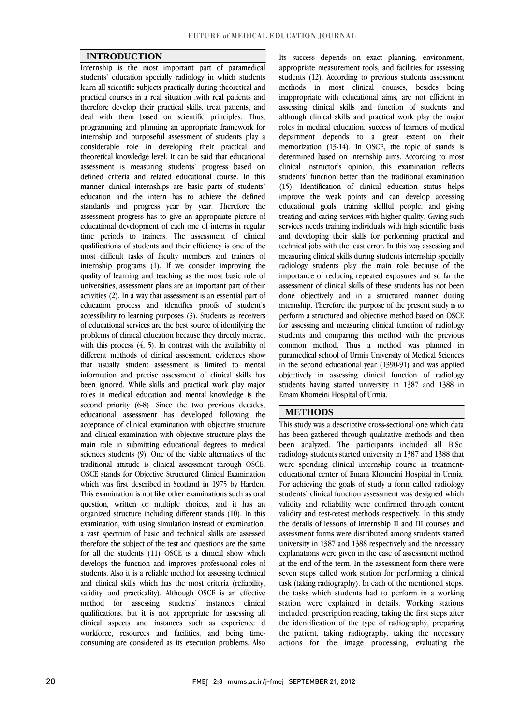### **INTRODUCTION**

 Internship is the most important part of paramedical students' education specially radiology in which students practical courses in a real situation ,with real patients and therefore develop their practical skills, treat patients, and deal with them based on scientific principles. Thus, programming and planning an appropriate framework for considerable role in developing their practical and theoretical knowledge level. It can be said that educational assessment is measuring students' progress based on defined criteria and related educational course. In this education and the intern has to achieve the defined standards and progress year by year. Therefore the assessment progress has to give an appropriate picture of educational development of each one of interns in regular qualifications of students and their efficiency is one of the most difficult tasks of faculty members and trainers of internship programs (1). If we consider improving the quality of learning and teaching as the most basic role of activities (2). In a way that assessment is an essential part of education process and identifies proofs of student's accessibility to learning purposes (3). Students as receivers problems of clinical education because they directly interact with this process  $(4, 5)$ . In contrast with the availability of different methods of clinical assessment, evidences show that usually student assessment is limited to mental been ignored. While skills and practical work play major roles in medical education and mental knowledge is the second priority (6-8). Since the two previous decades, educational assessment has developed following the acceptance of emilical examination with objective structure plays the main role in submitting educational degrees to medical sciences students (9). One of the viable alternatives of the traditional attitude is clinical assessment through OSCE. which was first described in Scotland in 1975 by Harden. This examination is not like other examinations such as oral question, written or multiple choices, and it has an organized structure including different stands (10). In this a vast spectrum of basic and technical skills are assessed therefore the subject of the test and questions are the same for all the students (11) OSCE is a clinical show which students. Also it is a reliable method for assessing technical<br>students. Also it is a reliable method for assessing technical and clinical skills which has the most criteria (reliability, validity, and practicality). Although OSCE is an effective method for assessing students' instances clinical clinical aspects and instances such as experience d workforce, resources and facilities, and being time- consuming are considered as its execution problems. Also learn all scientific subjects practically during theoretical and internship and purposeful assessment of students play a manner clinical internships are basic parts of students' time periods to trainers. The assessment of clinical universities, assessment plans are an important part of their of educational services are the best source of identifying the information and precise assessment of clinical skills has acceptance of clinical examination with objective structure OSCE stands for Objective Structured Clinical Examination examination, with using simulation instead of examination, develops the function and improves professional roles of qualifications, but it is not appropriate for assessing all

 appropriate measurement tools, and facilities for assessing students (12). According to previous students assessment inappropriate with educational aims, are not efficient in assessing clinical skills and function of students and although clinical skills and practical work play the major roles in medical education, success of learners of medical memorization (13-14). In OSCE, the topic of stands is determined based on internship aims. According to most clinical instructor's opinion, this examination reflects students' function better than the traditional examination improve the weak points and can develop accessing educational goals, training skillful people, and giving treating and caring services with higher quality. Giving such services needs training individuals with high scientific basis<br>and demolecules their chills for a seferance provided and technical jobs with the least error. In this way assessing and measuring clinical skills during students internship specially radiology students play the main role because of the importance of reducing repeated exposures and so far the<br>assessment of clinical skills of these students has not been done objectively and in a structured manner during internship. Therefore the purpose of the present study is to perform a structured and objective method based on OSCE students and comparing this method with the previous common method. Thus a method was planned in paramedical school of Urmia University of Medical Sciences in the second educational year (1390-91) and was applied students having started university in 1387 and 1388 in Its success depends on exact planning, environment, methods in most clinical courses, besides being department depends to a great extent on their (15). Identification of clinical education status helps and developing their skills for performing practical and importance of reducing repeated exposures and so far the for assessing and measuring clinical function of radiology objectively in assessing clinical function of radiology Emam Khomeini Hospital of Urmia.

### **METHODS**

 This study was a descriptive cross-sectional one which data has been gathered through qualitative methods and then been analyzed. The participants included all B.Sc. radiology students started university in 1387 and 1388 that were spending clinical internship course in treatment-For achieving the goals of study a form called radiology students' clinical function assessment was designed which validity and reliability were confirmed through content the details of lessons of internship II and III courses and assessment forms were distributed among students started university in 1387 and 1388 respectively and the necessary explanations were given in the case of assessment method at the end of the term. In the assessment form there were<br>seven steps called work station for performing a clinical task (taking radiography). In each of the mentioned steps, the tasks which students had to perform in a working station were explained in details. Working stations the identification of the type of radiography, preparing the patient, taking radiography, taking the necessary actions for the image processing, evaluating the educational center of Emam Khomeini Hospital in Urmia. validity and test-retest methods respectively. In this study at the end of the term. In the assessment form there were included: prescription reading, taking the first steps after

j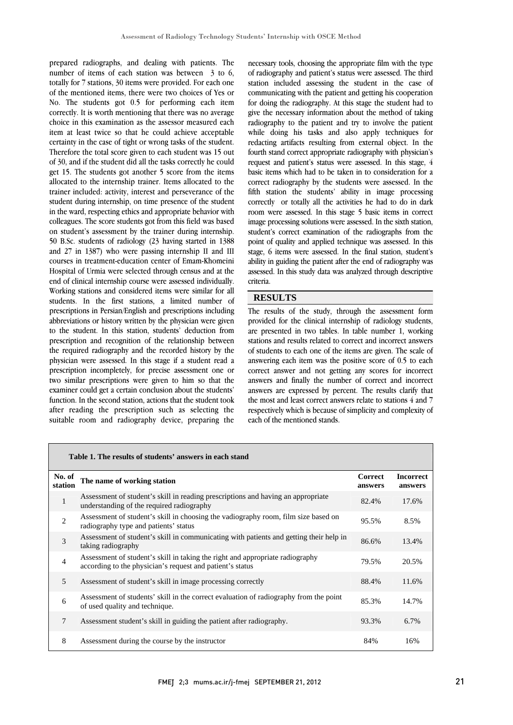prepared radiographs, and dealing with patients. The<br>number of items of each station was between 3 to 6, totally for 7 stations, 30 items were provided. For each one of the mentioned items, there were two choices of Yes or No. The students got 0.5 for performing each item correctly. It is worth mentioning that there was no average<br>choice in this examination as the assessor measured each item at least twice so that he could achieve acceptable certainty in the case of tight or wrong tasks of the student. Therefore the total score given to each student was 15 out get 15. The students got another 5 score from the items allocated to the internship trainer. Items allocated to the trainer included: activity, interest and perseverance of the student during internship, on time presence of the student In the ward, respecting ethics and appropriate behavior with<br>colleagues. The score students got from this field was based on student's assessment by the trainer during internship. 50 B.Sc. students of radiology (23 having started in 1388 and 27 in 1387) who were passing internship II and III Hospital of Urmia were selected through census and at the end of clinical internship course were assessed individually. Working stations and considered items were similar for all students. In the first stations, a limited number of abbreviations or history written by the physician were given to the student. In this station, students' deduction from prescription and recognition of the relationship between physician were assessed. In this stage if a student read a prescription incompletely, for precise assessment one or two similar prescriptions were given to him so that the examiner could get a certain conclusion about the students' after reading the prescription such as selecting the suitable room and radiography device, preparing the prepared radiographs, and dealing with patients. The correctly. It is worth mentioning that there was no average of 30, and if the student did all the tasks correctly he could in the ward, respecting ethics and appropriate behavior with courses in treatment-education center of Emam-Khomeini prescriptions in Persian/English and prescriptions including the required radiography and the recorded history by the function. In the second station, actions that the student took

necessary toots, cnoosing the appropriate nim with the type<br>of radiography and patient's status were assessed. The third station included assessing the student in the case of communicating with the patient and getting his cooperation for doing the radiography. At this stage the student had to while doing his tasks and also apply techniques for redacting artifacts resulting from external object. In the fourth stand correct appropriate radiography with physician's basic items which had to be taken in to consideration for a correct radiography by the students were assessed. In the fifth station the students' ability in image processing correctly or totally all the activities he had to do in dark image processing solutions were assessed. In the sixth station, student's correct examination of the radiographs from the point of quality and applied technique was assessed. In this stage, o tiems were assessed. In the final station, student s<br>ability in guiding the patient after the end of radiography was assessed. In this study data was analyzed through descriptive necessary tools, choosing the appropriate film with the type give the necessary information about the method of taking radiography to the patient and try to involve the patient request and patient's status were assessed. In this stage, 4 room were assessed. In this stage 5 basic items in correct stage, 6 items were assessed. In the final station, student's criteria.

## **RESULTS**

 The results of the study, through the assessment form provided for the clinical internship of radiology students, are presented in two tables. In table number 1, working stations and results related to correct and incorrect answers answering each item was the positive score of 0.5 to each correct answer and not getting any scores for incorrect answers and finally the number of correct and incorrect answers are expressed by percent. The results clarify that respectively which is because of simplicity and complexity of of students to each one of the items are given. The scale of the most and least correct answers relate to stations 4 and 7 each of the mentioned stands.

j

| Table 1. The results of students' answers in each stand |                                                                                                                                            |                           |                             |  |  |
|---------------------------------------------------------|--------------------------------------------------------------------------------------------------------------------------------------------|---------------------------|-----------------------------|--|--|
| No. of<br>station                                       | The name of working station                                                                                                                | <b>Correct</b><br>answers | <b>Incorrect</b><br>answers |  |  |
| $\mathbf{1}$                                            | Assessment of student's skill in reading prescriptions and having an appropriate<br>understanding of the required radiography              | 82.4%                     | 17.6%                       |  |  |
| 2                                                       | Assessment of student's skill in choosing the vadiography room, film size based on<br>radiography type and patients' status                | 95.5%                     | 8.5%                        |  |  |
| 3                                                       | Assessment of student's skill in communicating with patients and getting their help in<br>taking radiography                               | 86.6%                     | 13.4%                       |  |  |
| $\overline{4}$                                          | Assessment of student's skill in taking the right and appropriate radiography<br>according to the physician's request and patient's status | 79.5%                     | 20.5%                       |  |  |
| 5                                                       | Assessment of student's skill in image processing correctly                                                                                | 88.4%                     | 11.6%                       |  |  |
| 6                                                       | Assessment of students' skill in the correct evaluation of radiography from the point<br>of used quality and technique.                    | 85.3%                     | 14.7%                       |  |  |
| 7                                                       | Assessment student's skill in guiding the patient after radiography.                                                                       | 93.3%                     | 6.7%                        |  |  |
| 8                                                       | Assessment during the course by the instructor                                                                                             | 84%                       | 16%                         |  |  |

 $\overline{a}$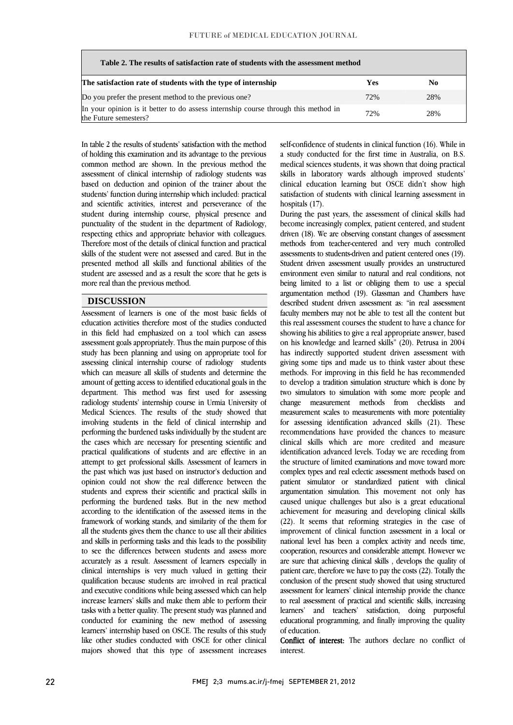| Table 2. The results of satisfaction rate of students with the assessment method                            |     |     |  |  |
|-------------------------------------------------------------------------------------------------------------|-----|-----|--|--|
| The satisfaction rate of students with the type of internship                                               | Yes | No  |  |  |
| Do you prefer the present method to the previous one?                                                       | 72% | 28% |  |  |
| In your opinion is it better to do assess internship course through this method in<br>the Future semesters? | 72% | 28% |  |  |

 In table 2 the results of students' satisfaction with the method of holding this examination and its advantage to the previous common method are shown. In the previous method the assessment of enfine a internsifip of factology students was students' function during internship which included: practical and scientific activities, interest and perseverance of the student during internship course, physical presence and punctually of the statem in the department of natiology,<br>respecting ethics and appropriate behavior with colleagues. Therefore most of the details of clinical function and practical skills of the student were not assessed and cared. But in the presented method all skills and functional abilities of the student are assessed and as a result the score that he gets is<br>more real than the previous method l assessment of clinical internship of radiology students was punctuality of the student in the department of Radiology, more real than the previous method.

### **DISCUSSION**

 $\overline{a}$ Assessment of fearners is one of the most basic here of education activities therefore most of the studies conducted in this field had emphasized on a tool which can assess assessment goals appropriately. Thus the main purpose of this study has been planning and using on appropriate tool for assessing cinnear internsitip course of radiology students<br>which can measure all skills of students and determine the amount of getting access to identified educational goals in the department. This method was first used for assessing radiology students' internship course in Urmia University of involving students in the field of clinical internship and performing the burdened tasks individually by the student are practical qualifications of students and are effective in an the past which was just based on instructor's deduction and opinion could not show the real difference between the students and express their scientific and practical skills in performing the burdened tasks. But in the new method framework of working stands, and similarity of the them for all the students gives them the chance to use all their abilities and skills in performing tasks and this leads to the possibility accurately as a result. Assessment of learners especially in clinical internships is very much valued in getting their qualification because students are involved in real practical and executive conditions while being assessed which can help tasks with a better quality. The present study was planned and conducted for examining the new method of assessing learners' internship based on OSCE. The results of this study like other studies conducted with OSCE for other clinical Assessment of learners is one of the most basic fields of assessing clinical internship course of radiology students Medical Sciences. The results of the study showed that the cases which are necessary for presenting scientific and attempt to get professional skills. Assessment of learners in according to the identification of the assessed items in the to see the differences between students and assess more increase learners' skills and make them able to perform their majors showed that this type of assessment increases

 self-confidence of students in clinical function (16). While in a study conducted for the first time in Australia, on B.S. medical sciences students, it was shown that doing practical clinical education learning but OSCE didn't show high satisfaction of students with clinical learning assessment in skills in laboratory wards although improved students' hospitals (17).

 During the past years, the assessment of clinical skills had driven (18). We are observing constant changes of assessment methods from teacher-centered and very much controlled assessments to students-driven and patient centered ones (19). Student driven assessment usually provides an unstructured being limited to a list or obliging them to use a special argumentation method (19). Glassman and Chambers have described student driven assessment as: "in real assessment this real assessment courses the student to have a chance for showing his abilities to give a real appropriate answer, based on his knowledge and learned skills" (20). Petrusa in 2004 has indirectly supported student driven assessment with giving some ups and made us to think vaster about these<br>methods. For improving in this field he has recommended to develop a tradition simulation structure which is done by two simulators to simulation with some more people and and for assessing identification advanced skills (21). These recommendations have provided the chances to measure clinical skills which are more credited and measure identification advanced levels. Today we are receding from complex types and real eclectic assessment methods based on patient simulator or standardized patient with clinical argumentation simulation. This movement not only has caused unique challenges but also is a great educational (22). It seems that reforming strategies in the case of improvement of clinical function assessment in a local or national level has been a complex activity and needs time, cooperation, resources and considerable attempt. However we<br>are sure that achieving clinical skills , develops the quality of patient care, therefore we have to pay the costs (22). Totally the conclusion of the present study showed that using structured assessment for learners' clinical internship provide the chance to rear assessment or practical and scientific skins, increasing<br>learners' and teachers' satisfaction, doing purposeful educational programming, and finally improving the quality become increasingly complex, patient centered, and student environment even similar to natural and real conditions, not faculty members may not be able to test all the content but giving some tips and made us to think vaster about these change measurement methods from checklists measurement scales to measurements with more potentiality the structure of limited examinations and move toward more achievement for measuring and developing clinical skills cooperation, resources and considerable attempt. However we to real assessment of practical and scientific skills, increasing of education.

 Conflict of interest: The authors declare no conflict of interest.